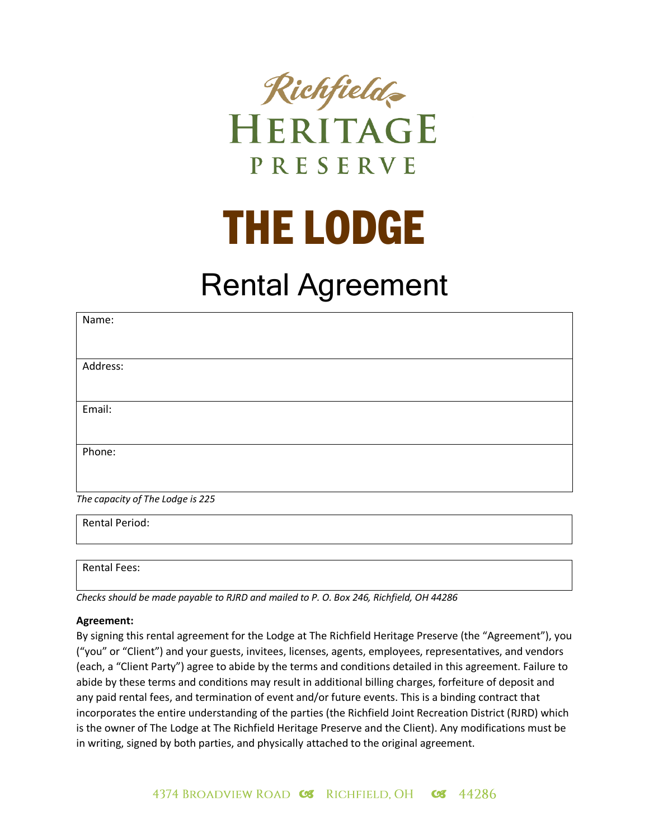

## THE LODGE

## Rental Agreement

| Name:                            |
|----------------------------------|
|                                  |
| Address:                         |
|                                  |
| Email:                           |
|                                  |
| Phone:                           |
|                                  |
| The capacity of The Lodge is 225 |

Rental Period:

Rental Fees:

*Checks should be made payable to RJRD and mailed to P. O. Box 246, Richfield, OH 44286*

## **Agreement:**

By signing this rental agreement for the Lodge at The Richfield Heritage Preserve (the "Agreement"), you ("you" or "Client") and your guests, invitees, licenses, agents, employees, representatives, and vendors (each, a "Client Party") agree to abide by the terms and conditions detailed in this agreement. Failure to abide by these terms and conditions may result in additional billing charges, forfeiture of deposit and any paid rental fees, and termination of event and/or future events. This is a binding contract that incorporates the entire understanding of the parties (the Richfield Joint Recreation District (RJRD) which is the owner of The Lodge at The Richfield Heritage Preserve and the Client). Any modifications must be in writing, signed by both parties, and physically attached to the original agreement.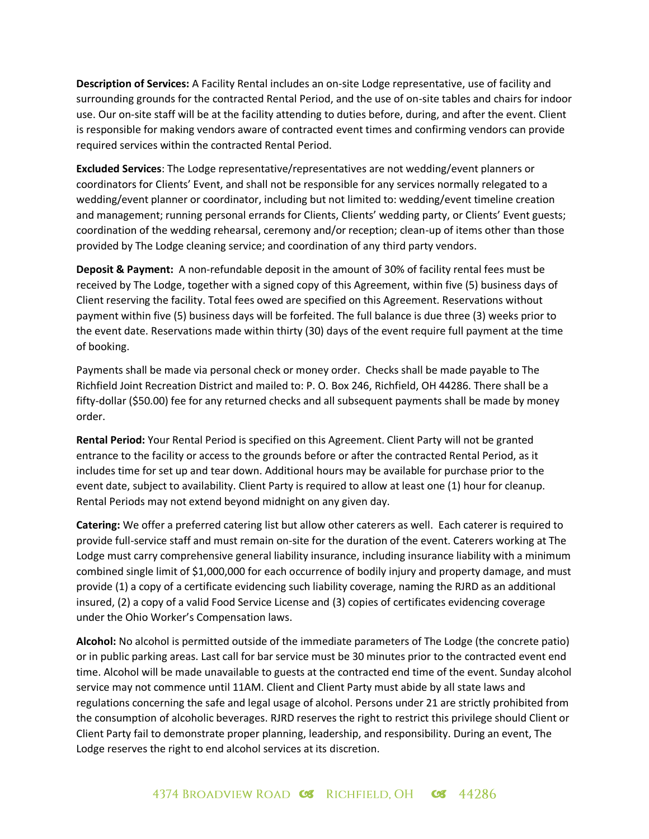**Description of Services:** A Facility Rental includes an on-site Lodge representative, use of facility and surrounding grounds for the contracted Rental Period, and the use of on-site tables and chairs for indoor use. Our on-site staff will be at the facility attending to duties before, during, and after the event. Client is responsible for making vendors aware of contracted event times and confirming vendors can provide required services within the contracted Rental Period.

**Excluded Services**: The Lodge representative/representatives are not wedding/event planners or coordinators for Clients' Event, and shall not be responsible for any services normally relegated to a wedding/event planner or coordinator, including but not limited to: wedding/event timeline creation and management; running personal errands for Clients, Clients' wedding party, or Clients' Event guests; coordination of the wedding rehearsal, ceremony and/or reception; clean-up of items other than those provided by The Lodge cleaning service; and coordination of any third party vendors.

**Deposit & Payment:** A non-refundable deposit in the amount of 30% of facility rental fees must be received by The Lodge, together with a signed copy of this Agreement, within five (5) business days of Client reserving the facility. Total fees owed are specified on this Agreement. Reservations without payment within five (5) business days will be forfeited. The full balance is due three (3) weeks prior to the event date. Reservations made within thirty (30) days of the event require full payment at the time of booking.

Payments shall be made via personal check or money order. Checks shall be made payable to The Richfield Joint Recreation District and mailed to: P. O. Box 246, Richfield, OH 44286. There shall be a fifty-dollar (\$50.00) fee for any returned checks and all subsequent payments shall be made by money order.

**Rental Period:** Your Rental Period is specified on this Agreement. Client Party will not be granted entrance to the facility or access to the grounds before or after the contracted Rental Period, as it includes time for set up and tear down. Additional hours may be available for purchase prior to the event date, subject to availability. Client Party is required to allow at least one (1) hour for cleanup. Rental Periods may not extend beyond midnight on any given day.

**Catering:** We offer a preferred catering list but allow other caterers as well. Each caterer is required to provide full-service staff and must remain on-site for the duration of the event. Caterers working at The Lodge must carry comprehensive general liability insurance, including insurance liability with a minimum combined single limit of \$1,000,000 for each occurrence of bodily injury and property damage, and must provide (1) a copy of a certificate evidencing such liability coverage, naming the RJRD as an additional insured, (2) a copy of a valid Food Service License and (3) copies of certificates evidencing coverage under the Ohio Worker's Compensation laws.

**Alcohol:** No alcohol is permitted outside of the immediate parameters of The Lodge (the concrete patio) or in public parking areas. Last call for bar service must be 30 minutes prior to the contracted event end time. Alcohol will be made unavailable to guests at the contracted end time of the event. Sunday alcohol service may not commence until 11AM. Client and Client Party must abide by all state laws and regulations concerning the safe and legal usage of alcohol. Persons under 21 are strictly prohibited from the consumption of alcoholic beverages. RJRD reserves the right to restrict this privilege should Client or Client Party fail to demonstrate proper planning, leadership, and responsibility. During an event, The Lodge reserves the right to end alcohol services at its discretion.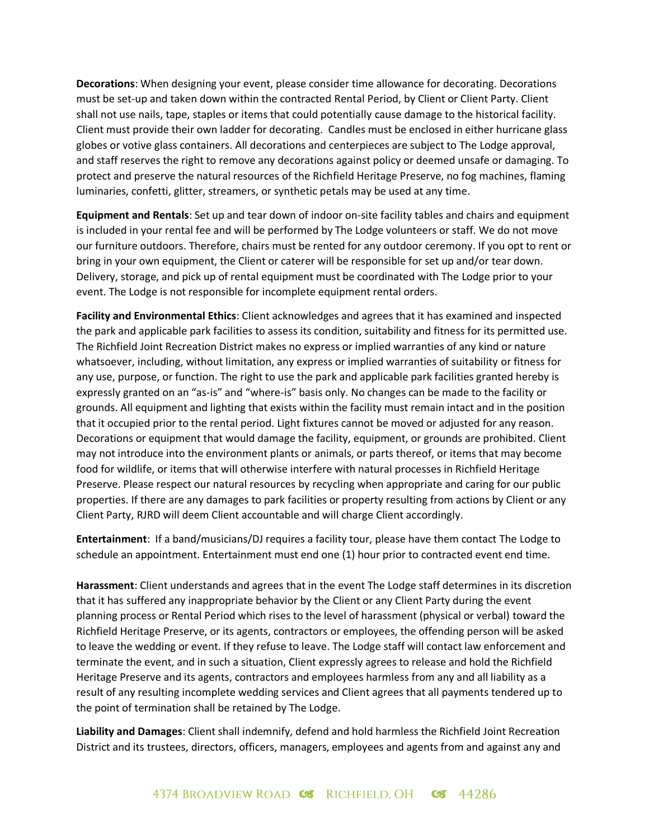**Decorations**: When designing your event, please consider time allowance for decorating. Decorations must be set-up and taken down within the contracted Rental Period, by Client or Client Party. Client shall not use nails, tape, staples or items that could potentially cause damage to the historical facility. Client must provide their own ladder for decorating. Candles must be enclosed in either hurricane glass globes or votive glass containers. All decorations and centerpieces are subject to The Lodge approval, and staff reserves the right to remove any decorations against policy or deemed unsafe or damaging. To protect and preserve the natural resources of the Richfield Heritage Preserve, no fog machines, flaming luminaries, confetti, glitter, streamers, or synthetic petals may be used at any time.

**Equipment and Rentals**: Set up and tear down of indoor on-site facility tables and chairs and equipment is included in your rental fee and will be performed by The Lodge volunteers or staff. We do not move our furniture outdoors. Therefore, chairs must be rented for any outdoor ceremony. If you opt to rent or bring in your own equipment, the Client or caterer will be responsible for set up and/or tear down. Delivery, storage, and pick up of rental equipment must be coordinated with The Lodge prior to your event. The Lodge is not responsible for incomplete equipment rental orders.

**Facility and Environmental Ethics**: Client acknowledges and agrees that it has examined and inspected the park and applicable park facilities to assess its condition, suitability and fitness for its permitted use. The Richfield Joint Recreation District makes no express or implied warranties of any kind or nature whatsoever, including, without limitation, any express or implied warranties of suitability or fitness for any use, purpose, or function. The right to use the park and applicable park facilities granted hereby is expressly granted on an "as-is" and "where-is" basis only. No changes can be made to the facility or grounds. All equipment and lighting that exists within the facility must remain intact and in the position that it occupied prior to the rental period. Light fixtures cannot be moved or adjusted for any reason. Decorations or equipment that would damage the facility, equipment, or grounds are prohibited. Client may not introduce into the environment plants or animals, or parts thereof, or items that may become food for wildlife, or items that will otherwise interfere with natural processes in Richfield Heritage Preserve. Please respect our natural resources by recycling when appropriate and caring for our public properties. If there are any damages to park facilities or property resulting from actions by Client or any Client Party, RJRD will deem Client accountable and will charge Client accordingly.

**Entertainment**: If a band/musicians/DJ requires a facility tour, please have them contact The Lodge to schedule an appointment. Entertainment must end one (1) hour prior to contracted event end time.

**Harassment**: Client understands and agrees that in the event The Lodge staff determines in its discretion that it has suffered any inappropriate behavior by the Client or any Client Party during the event planning process or Rental Period which rises to the level of harassment (physical or verbal) toward the Richfield Heritage Preserve, or its agents, contractors or employees, the offending person will be asked to leave the wedding or event. If they refuse to leave. The Lodge staff will contact law enforcement and terminate the event, and in such a situation, Client expressly agrees to release and hold the Richfield Heritage Preserve and its agents, contractors and employees harmless from any and all liability as a result of any resulting incomplete wedding services and Client agrees that all payments tendered up to the point of termination shall be retained by The Lodge.

**Liability and Damages**: Client shall indemnify, defend and hold harmless the Richfield Joint Recreation District and its trustees, directors, officers, managers, employees and agents from and against any and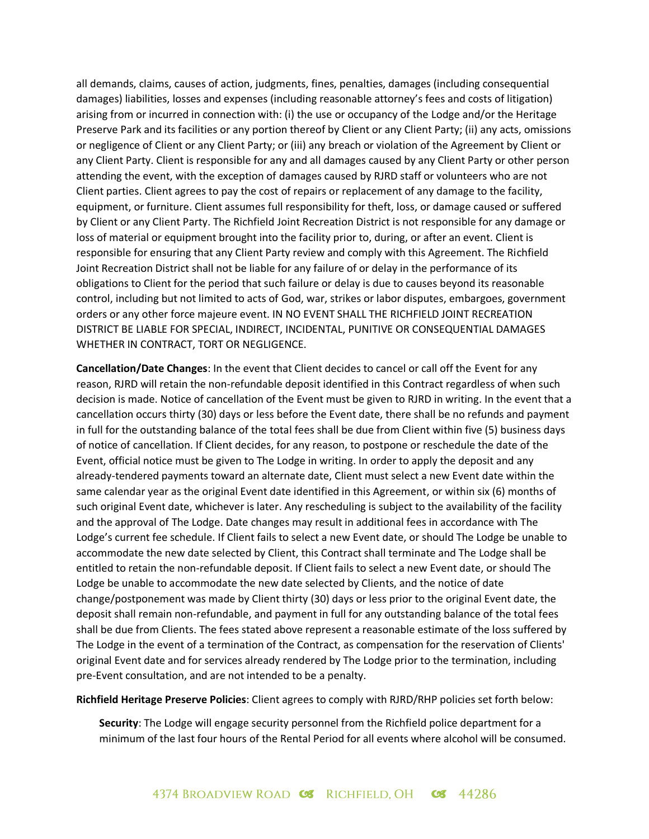all demands, claims, causes of action, judgments, fines, penalties, damages (including consequential damages) liabilities, losses and expenses (including reasonable attorney's fees and costs of litigation) arising from or incurred in connection with: (i) the use or occupancy of the Lodge and/or the Heritage Preserve Park and its facilities or any portion thereof by Client or any Client Party; (ii) any acts, omissions or negligence of Client or any Client Party; or (iii) any breach or violation of the Agreement by Client or any Client Party. Client is responsible for any and all damages caused by any Client Party or other person attending the event, with the exception of damages caused by RJRD staff or volunteers who are not Client parties. Client agrees to pay the cost of repairs or replacement of any damage to the facility, equipment, or furniture. Client assumes full responsibility for theft, loss, or damage caused or suffered by Client or any Client Party. The Richfield Joint Recreation District is not responsible for any damage or loss of material or equipment brought into the facility prior to, during, or after an event. Client is responsible for ensuring that any Client Party review and comply with this Agreement. The Richfield Joint Recreation District shall not be liable for any failure of or delay in the performance of its obligations to Client for the period that such failure or delay is due to causes beyond its reasonable control, including but not limited to acts of God, war, strikes or labor disputes, embargoes, government orders or any other force majeure event. IN NO EVENT SHALL THE RICHFIELD JOINT RECREATION DISTRICT BE LIABLE FOR SPECIAL, INDIRECT, INCIDENTAL, PUNITIVE OR CONSEQUENTIAL DAMAGES WHETHER IN CONTRACT, TORT OR NEGLIGENCE.

**Cancellation/Date Changes**: In the event that Client decides to cancel or call off the Event for any reason, RJRD will retain the non-refundable deposit identified in this Contract regardless of when such decision is made. Notice of cancellation of the Event must be given to RJRD in writing. In the event that a cancellation occurs thirty (30) days or less before the Event date, there shall be no refunds and payment in full for the outstanding balance of the total fees shall be due from Client within five (5) business days of notice of cancellation. If Client decides, for any reason, to postpone or reschedule the date of the Event, official notice must be given to The Lodge in writing. In order to apply the deposit and any already-tendered payments toward an alternate date, Client must select a new Event date within the same calendar year as the original Event date identified in this Agreement, or within six (6) months of such original Event date, whichever is later. Any rescheduling is subject to the availability of the facility and the approval of The Lodge. Date changes may result in additional fees in accordance with The Lodge's current fee schedule. If Client fails to select a new Event date, or should The Lodge be unable to accommodate the new date selected by Client, this Contract shall terminate and The Lodge shall be entitled to retain the non-refundable deposit. If Client fails to select a new Event date, or should The Lodge be unable to accommodate the new date selected by Clients, and the notice of date change/postponement was made by Client thirty (30) days or less prior to the original Event date, the deposit shall remain non-refundable, and payment in full for any outstanding balance of the total fees shall be due from Clients. The fees stated above represent a reasonable estimate of the loss suffered by The Lodge in the event of a termination of the Contract, as compensation for the reservation of Clients' original Event date and for services already rendered by The Lodge prior to the termination, including pre-Event consultation, and are not intended to be a penalty.

**Richfield Heritage Preserve Policies**: Client agrees to comply with RJRD/RHP policies set forth below:

**Security**: The Lodge will engage security personnel from the Richfield police department for a minimum of the last four hours of the Rental Period for all events where alcohol will be consumed.